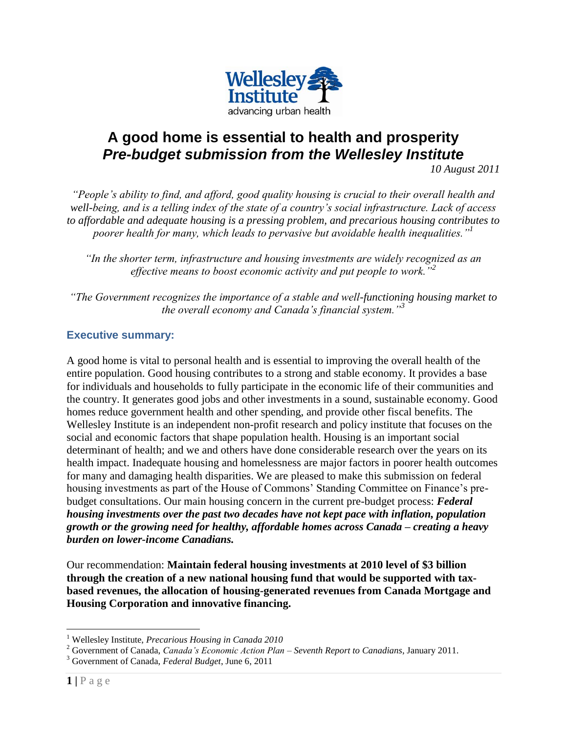

# **A good home is essential to health and prosperity** *Pre-budget submission from the Wellesley Institute*

*10 August 2011*

*"People's ability to find, and afford, good quality housing is crucial to their overall health and well-being, and is a telling index of the state of a country's social infrastructure. Lack of access to affordable and adequate housing is a pressing problem, and precarious housing contributes to poorer health for many, which leads to pervasive but avoidable health inequalities."<sup>1</sup>*

*"In the shorter term, infrastructure and housing investments are widely recognized as an effective means to boost economic activity and put people to work."<sup>2</sup>*

*"The Government recognizes the importance of a stable and well-functioning housing market to the overall economy and Canada's financial system."<sup>3</sup>*

## **Executive summary:**

A good home is vital to personal health and is essential to improving the overall health of the entire population. Good housing contributes to a strong and stable economy. It provides a base for individuals and households to fully participate in the economic life of their communities and the country. It generates good jobs and other investments in a sound, sustainable economy. Good homes reduce government health and other spending, and provide other fiscal benefits. The Wellesley Institute is an independent non-profit research and policy institute that focuses on the social and economic factors that shape population health. Housing is an important social determinant of health; and we and others have done considerable research over the years on its health impact. Inadequate housing and homelessness are major factors in poorer health outcomes for many and damaging health disparities. We are pleased to make this submission on federal housing investments as part of the House of Commons' Standing Committee on Finance's prebudget consultations. Our main housing concern in the current pre-budget process: *Federal housing investments over the past two decades have not kept pace with inflation, population growth or the growing need for healthy, affordable homes across Canada – creating a heavy burden on lower-income Canadians.*

Our recommendation: **Maintain federal housing investments at 2010 level of \$3 billion through the creation of a new national housing fund that would be supported with taxbased revenues, the allocation of housing-generated revenues from Canada Mortgage and Housing Corporation and innovative financing.**

 $\overline{a}$ 

<sup>1</sup> Wellesley Institute, *Precarious Housing in Canada 2010*

<sup>2</sup> Government of Canada, *Canada's Economic Action Plan – Seventh Report to Canadians*, January 2011.

<sup>3</sup> Government of Canada, *Federal Budget*, June 6, 2011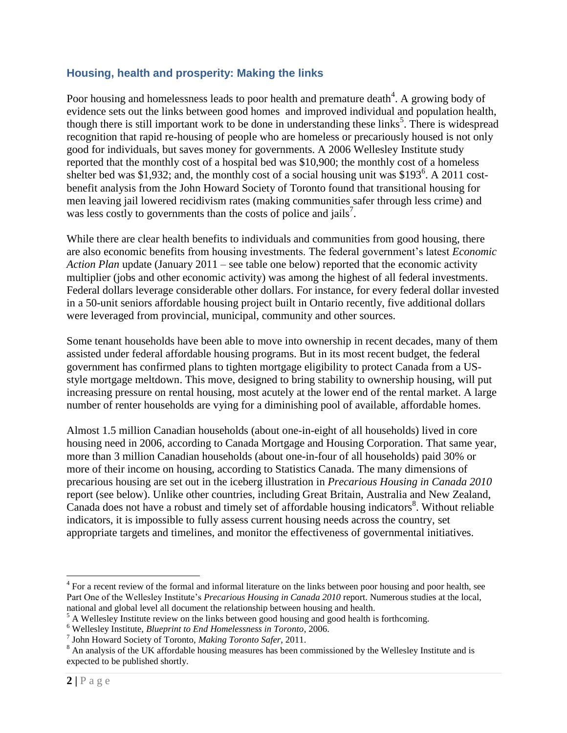### **Housing, health and prosperity: Making the links**

Poor housing and homelessness leads to poor health and premature death $4$ . A growing body of evidence sets out the links between good homes and improved individual and population health, though there is still important work to be done in understanding these links<sup>5</sup>. There is widespread recognition that rapid re-housing of people who are homeless or precariously housed is not only good for individuals, but saves money for governments. A 2006 Wellesley Institute study reported that the monthly cost of a hospital bed was \$10,900; the monthly cost of a homeless shelter bed was \$1,932; and, the monthly cost of a social housing unit was \$193<sup>6</sup>. A 2011 costbenefit analysis from the John Howard Society of Toronto found that transitional housing for men leaving jail lowered recidivism rates (making communities safer through less crime) and was less costly to governments than the costs of police and jails<sup>7</sup>.

While there are clear health benefits to individuals and communities from good housing, there are also economic benefits from housing investments. The federal government's latest *Economic Action Plan* update (January 2011 – see table one below) reported that the economic activity multiplier (jobs and other economic activity) was among the highest of all federal investments. Federal dollars leverage considerable other dollars. For instance, for every federal dollar invested in a 50-unit seniors affordable housing project built in Ontario recently, five additional dollars were leveraged from provincial, municipal, community and other sources.

Some tenant households have been able to move into ownership in recent decades, many of them assisted under federal affordable housing programs. But in its most recent budget, the federal government has confirmed plans to tighten mortgage eligibility to protect Canada from a USstyle mortgage meltdown. This move, designed to bring stability to ownership housing, will put increasing pressure on rental housing, most acutely at the lower end of the rental market. A large number of renter households are vying for a diminishing pool of available, affordable homes.

Almost 1.5 million Canadian households (about one-in-eight of all households) lived in core housing need in 2006, according to Canada Mortgage and Housing Corporation. That same year, more than 3 million Canadian households (about one-in-four of all households) paid 30% or more of their income on housing, according to Statistics Canada. The many dimensions of precarious housing are set out in the iceberg illustration in *Precarious Housing in Canada 2010* report (see below). Unlike other countries, including Great Britain, Australia and New Zealand, Canada does not have a robust and timely set of affordable housing indicators<sup>8</sup>. Without reliable indicators, it is impossible to fully assess current housing needs across the country, set appropriate targets and timelines, and monitor the effectiveness of governmental initiatives.

 $\overline{a}$ 

<sup>&</sup>lt;sup>4</sup> For a recent review of the formal and informal literature on the links between poor housing and poor health, see Part One of the Wellesley Institute's *Precarious Housing in Canada 2010* report. Numerous studies at the local, national and global level all document the relationship between housing and health.

<sup>&</sup>lt;sup>5</sup> A Wellesley Institute review on the links between good housing and good health is forthcoming.

<sup>6</sup> Wellesley Institute, *Blueprint to End Homelessness in Toronto*, 2006.

<sup>7</sup> John Howard Society of Toronto, *Making Toronto Safer*, 2011.

<sup>&</sup>lt;sup>8</sup> An analysis of the UK affordable housing measures has been commissioned by the Wellesley Institute and is expected to be published shortly.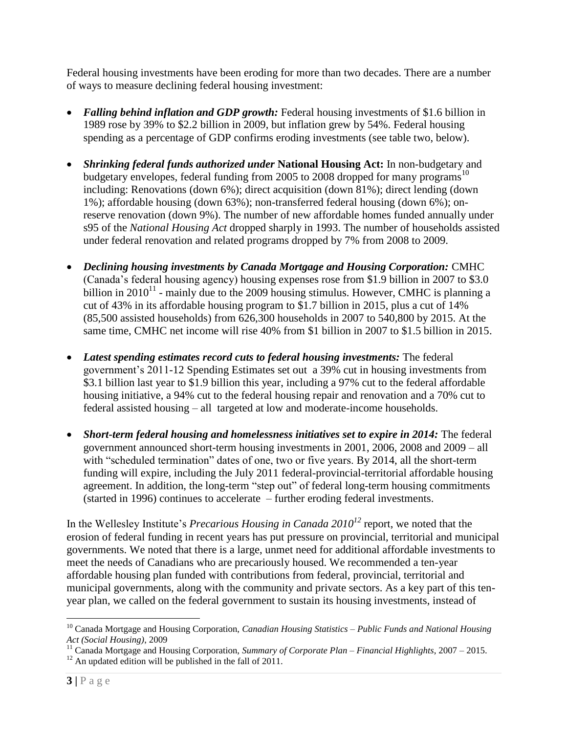Federal housing investments have been eroding for more than two decades. There are a number of ways to measure declining federal housing investment:

- *Falling behind inflation and GDP growth:* Federal housing investments of \$1.6 billion in 1989 rose by 39% to \$2.2 billion in 2009, but inflation grew by 54%. Federal housing spending as a percentage of GDP confirms eroding investments (see table two, below).
- *Shrinking federal funds authorized under* **National Housing Act:** In non-budgetary and budgetary envelopes, federal funding from 2005 to 2008 dropped for many programs<sup>10</sup> including: Renovations (down 6%); direct acquisition (down 81%); direct lending (down 1%); affordable housing (down 63%); non-transferred federal housing (down 6%); onreserve renovation (down 9%). The number of new affordable homes funded annually under s95 of the *National Housing Act* dropped sharply in 1993. The number of households assisted under federal renovation and related programs dropped by 7% from 2008 to 2009.
- *Declining housing investments by Canada Mortgage and Housing Corporation:* CMHC (Canada's federal housing agency) housing expenses rose from \$1.9 billion in 2007 to \$3.0 billion in  $2010^{11}$  - mainly due to the 2009 housing stimulus. However, CMHC is planning a cut of 43% in its affordable housing program to \$1.7 billion in 2015, plus a cut of 14% (85,500 assisted households) from 626,300 households in 2007 to 540,800 by 2015. At the same time, CMHC net income will rise 40% from \$1 billion in 2007 to \$1.5 billion in 2015.
- *Latest spending estimates record cuts to federal housing investments:* The federal government's 2011-12 Spending Estimates set out a 39% cut in housing investments from \$3.1 billion last year to \$1.9 billion this year, including a 97% cut to the federal affordable housing initiative, a 94% cut to the federal housing repair and renovation and a 70% cut to federal assisted housing – all targeted at low and moderate-income households.
- *Short-term federal housing and homelessness initiatives set to expire in 2014:* The federal government announced short-term housing investments in 2001, 2006, 2008 and 2009 – all with "scheduled termination" dates of one, two or five years. By 2014, all the short-term funding will expire, including the July 2011 federal-provincial-territorial affordable housing agreement. In addition, the long-term "step out" of federal long-term housing commitments (started in 1996) continues to accelerate – further eroding federal investments.

In the Wellesley Institute's *Precarious Housing in Canada 2010<sup>12</sup>* report, we noted that the erosion of federal funding in recent years has put pressure on provincial, territorial and municipal governments. We noted that there is a large, unmet need for additional affordable investments to meet the needs of Canadians who are precariously housed. We recommended a ten-year affordable housing plan funded with contributions from federal, provincial, territorial and municipal governments, along with the community and private sectors. As a key part of this tenyear plan, we called on the federal government to sustain its housing investments, instead of

 $\overline{a}$ 

<sup>10</sup> Canada Mortgage and Housing Corporation, *Canadian Housing Statistics – Public Funds and National Housing Act (Social Housing)*, 2009

<sup>11</sup> Canada Mortgage and Housing Corporation, *Summary of Corporate Plan – Financial Highlights*, 2007 – 2015.

 $12$  An updated edition will be published in the fall of 2011.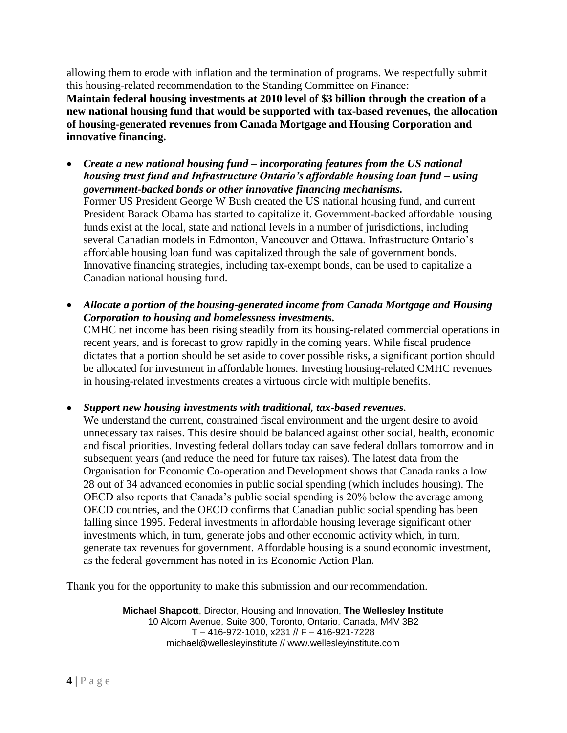allowing them to erode with inflation and the termination of programs. We respectfully submit this housing-related recommendation to the Standing Committee on Finance: **Maintain federal housing investments at 2010 level of \$3 billion through the creation of a new national housing fund that would be supported with tax-based revenues, the allocation of housing-generated revenues from Canada Mortgage and Housing Corporation and innovative financing.**

- *Create a new national housing fund – incorporating features from the US national housing trust fund and Infrastructure Ontario's affordable housing loan fund – using government-backed bonds or other innovative financing mechanisms.* Former US President George W Bush created the US national housing fund, and current President Barack Obama has started to capitalize it. Government-backed affordable housing funds exist at the local, state and national levels in a number of jurisdictions, including several Canadian models in Edmonton, Vancouver and Ottawa. Infrastructure Ontario's affordable housing loan fund was capitalized through the sale of government bonds. Innovative financing strategies, including tax-exempt bonds, can be used to capitalize a Canadian national housing fund.
- *Allocate a portion of the housing-generated income from Canada Mortgage and Housing Corporation to housing and homelessness investments.*

CMHC net income has been rising steadily from its housing-related commercial operations in recent years, and is forecast to grow rapidly in the coming years. While fiscal prudence dictates that a portion should be set aside to cover possible risks, a significant portion should be allocated for investment in affordable homes. Investing housing-related CMHC revenues in housing-related investments creates a virtuous circle with multiple benefits.

*Support new housing investments with traditional, tax-based revenues.*

We understand the current, constrained fiscal environment and the urgent desire to avoid unnecessary tax raises. This desire should be balanced against other social, health, economic and fiscal priorities. Investing federal dollars today can save federal dollars tomorrow and in subsequent years (and reduce the need for future tax raises). The latest data from the Organisation for Economic Co-operation and Development shows that Canada ranks a low 28 out of 34 advanced economies in public social spending (which includes housing). The OECD also reports that Canada's public social spending is 20% below the average among OECD countries, and the OECD confirms that Canadian public social spending has been falling since 1995. Federal investments in affordable housing leverage significant other investments which, in turn, generate jobs and other economic activity which, in turn, generate tax revenues for government. Affordable housing is a sound economic investment, as the federal government has noted in its Economic Action Plan.

Thank you for the opportunity to make this submission and our recommendation.

**Michael Shapcott**, Director, Housing and Innovation, **The Wellesley Institute** 10 Alcorn Avenue, Suite 300, Toronto, Ontario, Canada, M4V 3B2 T – 416-972-1010, x231 // F – 416-921-7228 michael@wellesleyinstitute // www.wellesleyinstitute.com